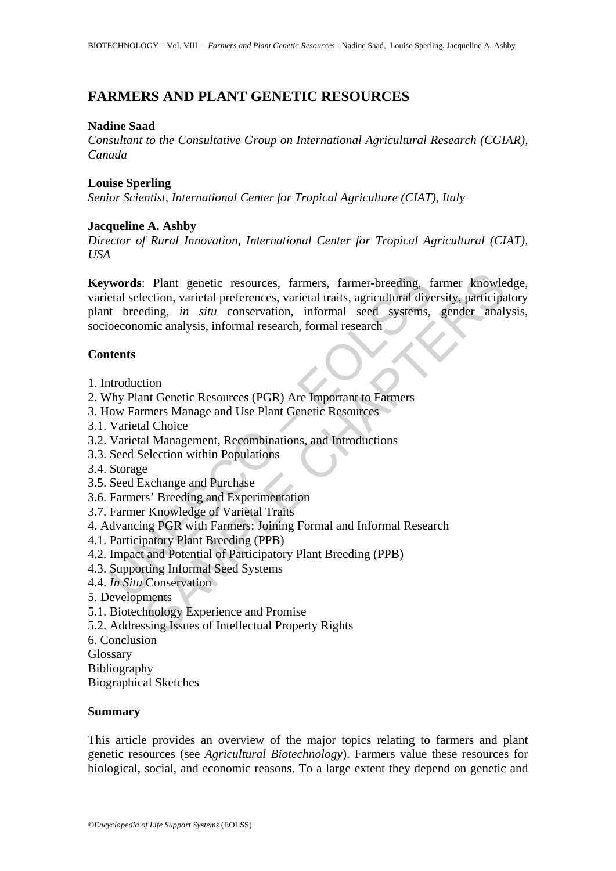# **FARMERS AND PLANT GENETIC RESOURCES**

# **Nadine Saad**

*Consultant to the Consultative Group on International Agricultural Research (CGIAR), Canada* 

# **Louise Sperling**

*Senior Scientist, International Center for Tropical Agriculture (CIAT), Italy*

# **Jacqueline A. Ashby**

*Director of Rural Innovation, International Center for Tropical Agricultural (CIAT), USA* 

**words**: Plant genetic resources, farmers, farmer-breeding, f<br>etal selection, varietal preferences, varietal traits, agricultural dive<br>to threeding, *in situ* conservation, informal seed systems,<br>oeconomic analysis, inform : Plant genetic resources, farmers, farmer-breeding, farmer knowlection, varietal preferences, varietal traits, agricultural diversity, participa<br>ection, varietal preferences, varietal traits, agricultural diversity, parti **Keywords**: Plant genetic resources, farmers, farmer-breeding, farmer knowledge, varietal selection, varietal preferences, varietal traits, agricultural diversity, participatory plant breeding, *in situ* conservation, informal seed systems, gender analysis, socioeconomic analysis, informal research, formal research

# **Contents**

- 1. Introduction
- 2. Why Plant Genetic Resources (PGR) Are Important to Farmers
- 3. How Farmers Manage and Use Plant Genetic Resources
- 3.1. Varietal Choice
- 3.2. Varietal Management, Recombinations, and Introductions
- 3.3. Seed Selection within Populations
- 3.4. Storage
- 3.5. Seed Exchange and Purchase
- 3.6. Farmers' Breeding and Experimentation
- 3.7. Farmer Knowledge of Varietal Traits
- 4. Advancing PGR with Farmers: Joining Formal and Informal Research
- 4.1. Participatory Plant Breeding (PPB)
- 4.2. Impact and Potential of Participatory Plant Breeding (PPB)
- 4.3. Supporting Informal Seed Systems
- 4.4. *In Situ* Conservation
- 5. Developments
- 5.1. Biotechnology Experience and Promise
- 5.2. Addressing Issues of Intellectual Property Rights
- 6. Conclusion
- Glossary
- Bibliography

Biographical Sketches

## **Summary**

This article provides an overview of the major topics relating to farmers and plant genetic resources (see *Agricultural Biotechnology*). Farmers value these resources for biological, social, and economic reasons. To a large extent they depend on genetic and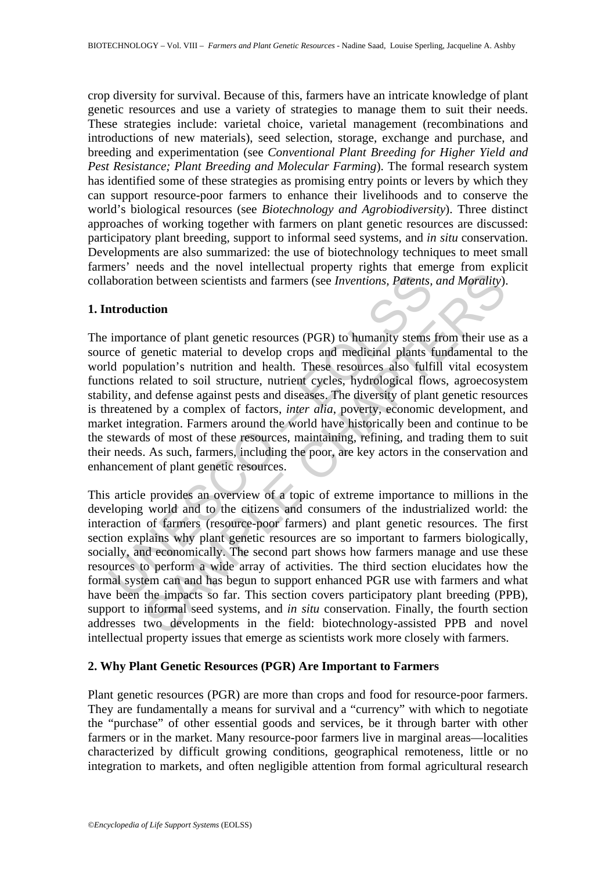crop diversity for survival. Because of this, farmers have an intricate knowledge of plant genetic resources and use a variety of strategies to manage them to suit their needs. These strategies include: varietal choice, varietal management (recombinations and introductions of new materials), seed selection, storage, exchange and purchase, and breeding and experimentation (see *Conventional Plant Breeding for Higher Yield and Pest Resistance; Plant Breeding and Molecular Farming*). The formal research system has identified some of these strategies as promising entry points or levers by which they can support resource-poor farmers to enhance their livelihoods and to conserve the world's biological resources (see *Biotechnology and Agrobiodiversity*). Three distinct approaches of working together with farmers on plant genetic resources are discussed: participatory plant breeding, support to informal seed systems, and *in situ* conservation. Developments are also summarized: the use of biotechnology techniques to meet small farmers' needs and the novel intellectual property rights that emerge from explicit collaboration between scientists and farmers (see *Inventions, Patents, and Morality*).

### **1. Introduction**

aboration between scientists and farmers (see *Inventions*, *Patents*,<br>
atroduction<br>
importance of plant genetic resources (PGR) to humanity stems<br>
ice of genetic material to develop crops and medicinal plants f<br>
ld popula The importance of plant genetic resources (PGR) to humanity stems from their use as a source of genetic material to develop crops and medicinal plants fundamental to the world population's nutrition and health. These resources also fulfill vital ecosystem functions related to soil structure, nutrient cycles, hydrological flows, agroecosystem stability, and defense against pests and diseases. The diversity of plant genetic resources is threatened by a complex of factors, *inter alia*, poverty, economic development, and market integration. Farmers around the world have historically been and continue to be the stewards of most of these resources, maintaining, refining, and trading them to suit their needs. As such, farmers, including the poor, are key actors in the conservation and enhancement of plant genetic resources.

on between scientists and farmers (see *Inventions, Patents, and Morality*).<br>
ction<br>
chom between scientists and farmers (see *Inventions, Patents, and Morality*).<br>
ction<br>
charace of plant genetic resources (PGR) to humani This article provides an overview of a topic of extreme importance to millions in the developing world and to the citizens and consumers of the industrialized world: the interaction of farmers (resource-poor farmers) and plant genetic resources. The first section explains why plant genetic resources are so important to farmers biologically, socially, and economically. The second part shows how farmers manage and use these resources to perform a wide array of activities. The third section elucidates how the formal system can and has begun to support enhanced PGR use with farmers and what have been the impacts so far. This section covers participatory plant breeding (PPB), support to informal seed systems, and *in situ* conservation. Finally, the fourth section addresses two developments in the field: biotechnology-assisted PPB and novel intellectual property issues that emerge as scientists work more closely with farmers.

# **2. Why Plant Genetic Resources (PGR) Are Important to Farmers**

Plant genetic resources (PGR) are more than crops and food for resource-poor farmers. They are fundamentally a means for survival and a "currency" with which to negotiate the "purchase" of other essential goods and services, be it through barter with other farmers or in the market. Many resource-poor farmers live in marginal areas—localities characterized by difficult growing conditions, geographical remoteness, little or no integration to markets, and often negligible attention from formal agricultural research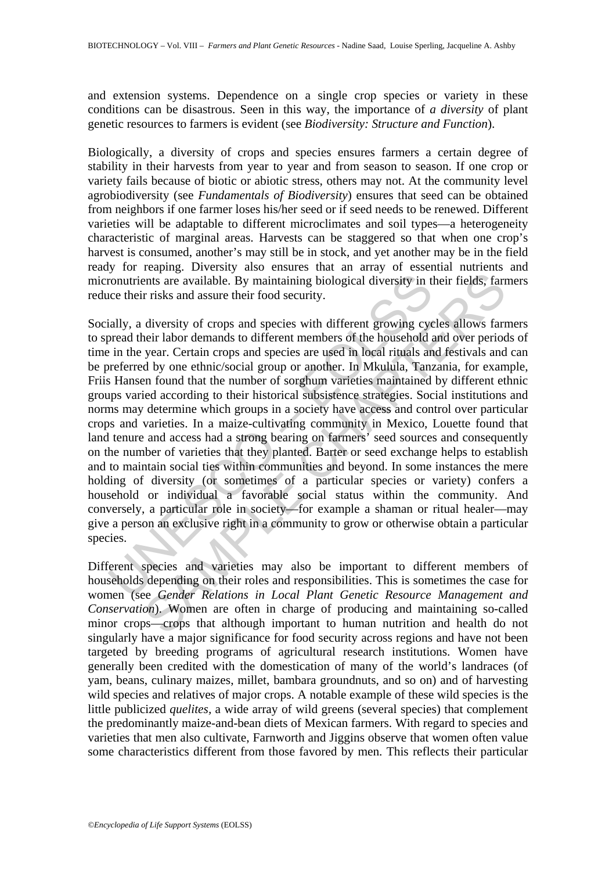and extension systems. Dependence on a single crop species or variety in these conditions can be disastrous. Seen in this way, the importance of *a diversity* of plant genetic resources to farmers is evident (see *Biodiversity: Structure and Function*).

Biologically, a diversity of crops and species ensures farmers a certain degree of stability in their harvests from year to year and from season to season. If one crop or variety fails because of biotic or abiotic stress, others may not. At the community level agrobiodiversity (see *Fundamentals of Biodiversity*) ensures that seed can be obtained from neighbors if one farmer loses his/her seed or if seed needs to be renewed. Different varieties will be adaptable to different microclimates and soil types—a heterogeneity characteristic of marginal areas. Harvests can be staggered so that when one crop's harvest is consumed, another's may still be in stock, and yet another may be in the field ready for reaping. Diversity also ensures that an array of essential nutrients and micronutrients are available. By maintaining biological diversity in their fields, farmers reduce their risks and assure their food security.

continents are available. By maintaining biological diversity in the their risks and assure their food security.<br>
ially, a diversity of crops and species with different growing cyclometral their labor demands to different ents are available. By maintaining biological diversity in their fields, farming are available. By maintaining biological diversity in their fields, farming risks and assure their food security.<br>
diversity of crops and spe Socially, a diversity of crops and species with different growing cycles allows farmers to spread their labor demands to different members of the household and over periods of time in the year. Certain crops and species are used in local rituals and festivals and can be preferred by one ethnic/social group or another. In Mkulula, Tanzania, for example, Friis Hansen found that the number of sorghum varieties maintained by different ethnic groups varied according to their historical subsistence strategies. Social institutions and norms may determine which groups in a society have access and control over particular crops and varieties. In a maize-cultivating community in Mexico, Louette found that land tenure and access had a strong bearing on farmers' seed sources and consequently on the number of varieties that they planted. Barter or seed exchange helps to establish and to maintain social ties within communities and beyond. In some instances the mere holding of diversity (or sometimes of a particular species or variety) confers a household or individual a favorable social status within the community. And conversely, a particular role in society—for example a shaman or ritual healer—may give a person an exclusive right in a community to grow or otherwise obtain a particular species.

Different species and varieties may also be important to different members of households depending on their roles and responsibilities. This is sometimes the case for women (see *Gender Relations in Local Plant Genetic Resource Management and Conservation*). Women are often in charge of producing and maintaining so-called minor crops—crops that although important to human nutrition and health do not singularly have a major significance for food security across regions and have not been targeted by breeding programs of agricultural research institutions. Women have generally been credited with the domestication of many of the world's landraces (of yam, beans, culinary maizes, millet, bambara groundnuts, and so on) and of harvesting wild species and relatives of major crops. A notable example of these wild species is the little publicized *quelites,* a wide array of wild greens (several species) that complement the predominantly maize-and-bean diets of Mexican farmers. With regard to species and varieties that men also cultivate, Farnworth and Jiggins observe that women often value some characteristics different from those favored by men. This reflects their particular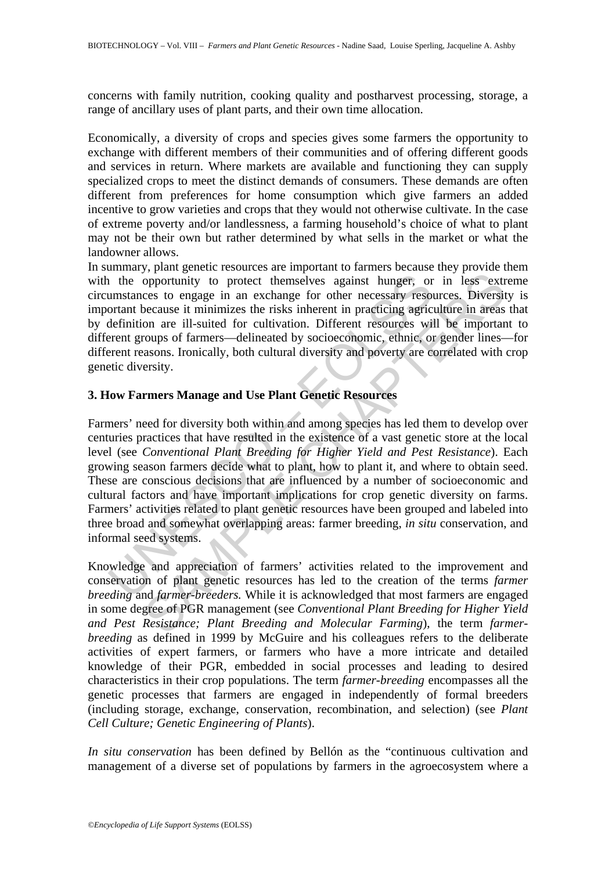concerns with family nutrition, cooking quality and postharvest processing, storage, a range of ancillary uses of plant parts, and their own time allocation.

Economically, a diversity of crops and species gives some farmers the opportunity to exchange with different members of their communities and of offering different goods and services in return. Where markets are available and functioning they can supply specialized crops to meet the distinct demands of consumers. These demands are often different from preferences for home consumption which give farmers an added incentive to grow varieties and crops that they would not otherwise cultivate. In the case of extreme poverty and/or landlessness, a farming household's choice of what to plant may not be their own but rather determined by what sells in the market or what the landowner allows.

In summary, plant genetic resources are important to farmers because they provide them with the opportunity to protect themselves against hunger, or in less extreme circumstances to engage in an exchange for other necessary resources. Diversity is important because it minimizes the risks inherent in practicing agriculture in areas that by definition are ill-suited for cultivation. Different resources will be important to different groups of farmers—delineated by socioeconomic, ethnic, or gender lines—for different reasons. Ironically, both cultural diversity and poverty are correlated with crop genetic diversity.

# **3. How Farmers Manage and Use Plant Genetic Resources**

1 the opportunity to protect themselves against hunger, or<br>umstances to engage in an exchange for other necessary reso<br>ortant because it minimizes the risks inherent in practicing agric<br>definition are ill-suited for cultiv The summary of product themselves against hunger, or in less extress to engage in an exchange for other necessary resources. Diversity on are in liminates the risk inherent in practicing agriculture in areas, to on are il Farmers' need for diversity both within and among species has led them to develop over centuries practices that have resulted in the existence of a vast genetic store at the local level (see *Conventional Plant Breeding for Higher Yield and Pest Resistance*). Each growing season farmers decide what to plant, how to plant it, and where to obtain seed. These are conscious decisions that are influenced by a number of socioeconomic and cultural factors and have important implications for crop genetic diversity on farms. Farmers' activities related to plant genetic resources have been grouped and labeled into three broad and somewhat overlapping areas: farmer breeding, *in situ* conservation, and informal seed systems.

Knowledge and appreciation of farmers' activities related to the improvement and conservation of plant genetic resources has led to the creation of the terms *farmer breeding* and *farmer-breeders.* While it is acknowledged that most farmers are engaged in some degree of PGR management (see *Conventional Plant Breeding for Higher Yield and Pest Resistance; Plant Breeding and Molecular Farming*), the term *farmerbreeding* as defined in 1999 by McGuire and his colleagues refers to the deliberate activities of expert farmers, or farmers who have a more intricate and detailed knowledge of their PGR, embedded in social processes and leading to desired characteristics in their crop populations. The term *farmer-breeding* encompasses all the genetic processes that farmers are engaged in independently of formal breeders (including storage, exchange, conservation, recombination, and selection) (see *Plant Cell Culture; Genetic Engineering of Plants*).

*In situ conservation* has been defined by Bellón as the "continuous cultivation and management of a diverse set of populations by farmers in the agroecosystem where a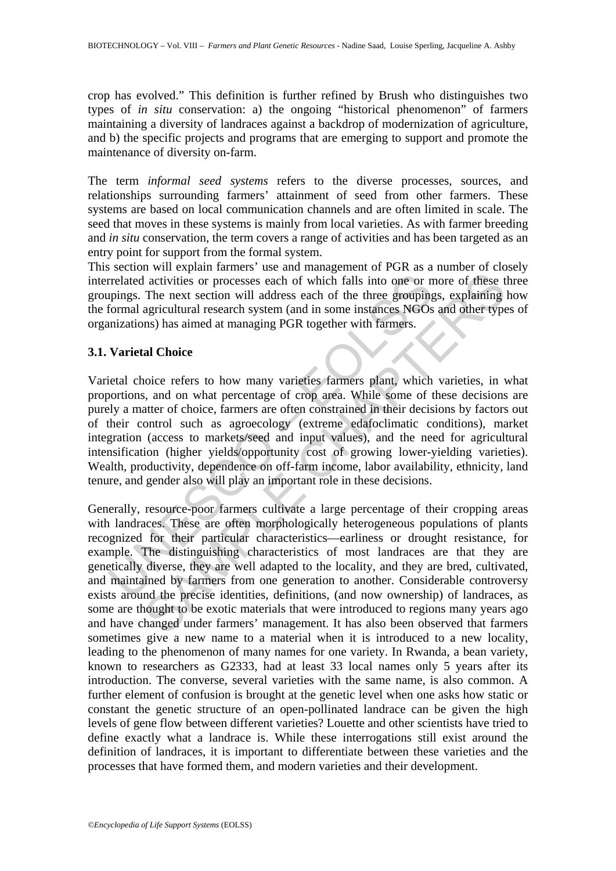crop has evolved." This definition is further refined by Brush who distinguishes two types of *in situ* conservation: a) the ongoing "historical phenomenon" of farmers maintaining a diversity of landraces against a backdrop of modernization of agriculture, and b) the specific projects and programs that are emerging to support and promote the maintenance of diversity on-farm.

The term *informal seed systems* refers to the diverse processes, sources, and relationships surrounding farmers' attainment of seed from other farmers. These systems are based on local communication channels and are often limited in scale. The seed that moves in these systems is mainly from local varieties. As with farmer breeding and *in situ* conservation, the term covers a range of activities and has been targeted as an entry point for support from the formal system.

This section will explain farmers' use and management of PGR as a number of closely interrelated activities or processes each of which falls into one or more of these three groupings. The next section will address each of the three groupings, explaining how the formal agricultural research system (and in some instances NGOs and other types of organizations) has aimed at managing PGR together with farmers.

### **3.1. Varietal Choice**

rrelated activities or processes each of which falls into one or n<br>pings. The next section will address each of the three grouping<br>formal agricultural research system (and in some instances NGOs<br>mizations) has aimed at man Varietal choice refers to how many varieties farmers plant, which varieties, in what proportions, and on what percentage of crop area. While some of these decisions are purely a matter of choice, farmers are often constrained in their decisions by factors out of their control such as agroecology (extreme edafoclimatic conditions), market integration (access to markets/seed and input values), and the need for agricultural intensification (higher yields/opportunity cost of growing lower-yielding varieties). Wealth, productivity, dependence on off-farm income, labor availability, ethnicity, land tenure, and gender also will play an important role in these decisions.

In activities or processes each of which falls into one or more of these I<br>The next section will address each of which falls into one or more of these I<br>The next section will address each of the three groupings, explaining Generally, resource-poor farmers cultivate a large percentage of their cropping areas with landraces. These are often morphologically heterogeneous populations of plants recognized for their particular characteristics—earliness or drought resistance, for example. The distinguishing characteristics of most landraces are that they are genetically diverse, they are well adapted to the locality, and they are bred, cultivated, and maintained by farmers from one generation to another. Considerable controversy exists around the precise identities, definitions, (and now ownership) of landraces, as some are thought to be exotic materials that were introduced to regions many years ago and have changed under farmers' management. It has also been observed that farmers sometimes give a new name to a material when it is introduced to a new locality, leading to the phenomenon of many names for one variety. In Rwanda, a bean variety, known to researchers as G2333, had at least 33 local names only 5 years after its introduction. The converse, several varieties with the same name, is also common. A further element of confusion is brought at the genetic level when one asks how static or constant the genetic structure of an open-pollinated landrace can be given the high levels of gene flow between different varieties? Louette and other scientists have tried to define exactly what a landrace is. While these interrogations still exist around the definition of landraces, it is important to differentiate between these varieties and the processes that have formed them, and modern varieties and their development.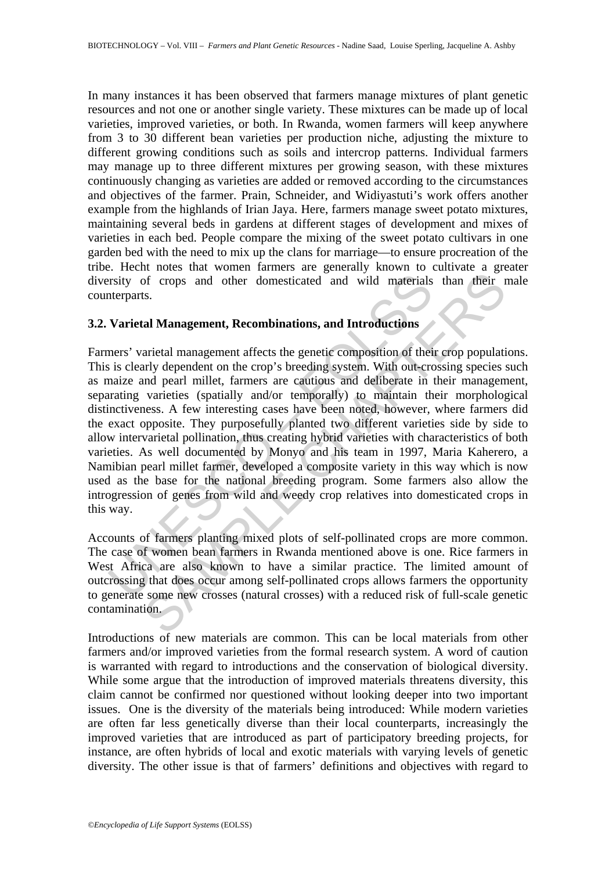In many instances it has been observed that farmers manage mixtures of plant genetic resources and not one or another single variety. These mixtures can be made up of local varieties, improved varieties, or both. In Rwanda, women farmers will keep anywhere from 3 to 30 different bean varieties per production niche, adjusting the mixture to different growing conditions such as soils and intercrop patterns. Individual farmers may manage up to three different mixtures per growing season, with these mixtures continuously changing as varieties are added or removed according to the circumstances and objectives of the farmer. Prain, Schneider, and Widiyastuti's work offers another example from the highlands of Irian Jaya. Here, farmers manage sweet potato mixtures, maintaining several beds in gardens at different stages of development and mixes of varieties in each bed. People compare the mixing of the sweet potato cultivars in one garden bed with the need to mix up the clans for marriage—to ensure procreation of the tribe. Hecht notes that women farmers are generally known to cultivate a greater diversity of crops and other domesticated and wild materials than their male counterparts.

### **3.2. Varietal Management, Recombinations, and Introductions**

Institute of crops and other domesticated and wild materials<br>netrparts.<br>**Varietal Management, Recombinations, and Introductions**<br>ners' varietal management affects the genetic composition of their<br>is is clearly dependent on of crops and other domesticated and wild materials than their r<br>s.<br>S.<br>In Management, Recombinations, and Introductions<br>arietal management affects the genetic composition of their crop population<br>and peach to the crop's bre Farmers' varietal management affects the genetic composition of their crop populations. This is clearly dependent on the crop's breeding system. With out-crossing species such as maize and pearl millet, farmers are cautious and deliberate in their management, separating varieties (spatially and/or temporally) to maintain their morphological distinctiveness. A few interesting cases have been noted, however, where farmers did the exact opposite. They purposefully planted two different varieties side by side to allow intervarietal pollination, thus creating hybrid varieties with characteristics of both varieties. As well documented by Monyo and his team in 1997, Maria Kaherero, a Namibian pearl millet farmer, developed a composite variety in this way which is now used as the base for the national breeding program. Some farmers also allow the introgression of genes from wild and weedy crop relatives into domesticated crops in this way.

Accounts of farmers planting mixed plots of self-pollinated crops are more common. The case of women bean farmers in Rwanda mentioned above is one. Rice farmers in West Africa are also known to have a similar practice. The limited amount of outcrossing that does occur among self-pollinated crops allows farmers the opportunity to generate some new crosses (natural crosses) with a reduced risk of full-scale genetic contamination.

Introductions of new materials are common. This can be local materials from other farmers and/or improved varieties from the formal research system. A word of caution is warranted with regard to introductions and the conservation of biological diversity. While some argue that the introduction of improved materials threatens diversity, this claim cannot be confirmed nor questioned without looking deeper into two important issues. One is the diversity of the materials being introduced: While modern varieties are often far less genetically diverse than their local counterparts, increasingly the improved varieties that are introduced as part of participatory breeding projects, for instance, are often hybrids of local and exotic materials with varying levels of genetic diversity. The other issue is that of farmers' definitions and objectives with regard to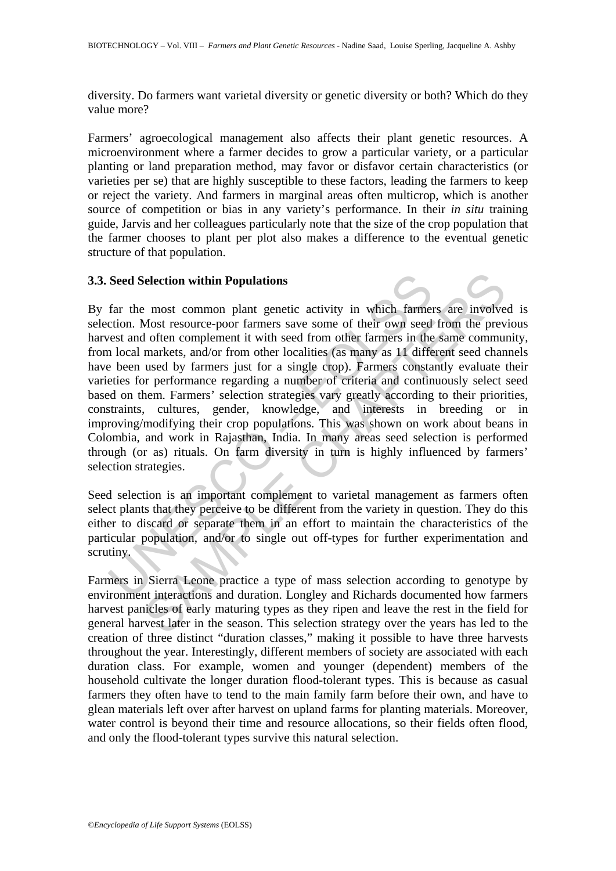diversity. Do farmers want varietal diversity or genetic diversity or both? Which do they value more?

Farmers' agroecological management also affects their plant genetic resources. A microenvironment where a farmer decides to grow a particular variety, or a particular planting or land preparation method, may favor or disfavor certain characteristics (or varieties per se) that are highly susceptible to these factors, leading the farmers to keep or reject the variety. And farmers in marginal areas often multicrop, which is another source of competition or bias in any variety's performance. In their *in situ* training guide, Jarvis and her colleagues particularly note that the size of the crop population that the farmer chooses to plant per plot also makes a difference to the eventual genetic structure of that population.

## **3.3. Seed Selection within Populations**

Seed Selection within Populations<br>far the most common plant genetic activity in which farmeetion. Most resource-poor farmers save some of their own seed<br>test and often complement it with seed from other farmers in the<br>n lo ielection within Populations<br>
2: most common plant genetic activity in which farmers are involved<br>
Most resource-poor farmers save some of their own seed from the prev<br>
Most resource-poor farmers save some of their own see By far the most common plant genetic activity in which farmers are involved is selection. Most resource-poor farmers save some of their own seed from the previous harvest and often complement it with seed from other farmers in the same community, from local markets, and/or from other localities (as many as 11 different seed channels have been used by farmers just for a single crop). Farmers constantly evaluate their varieties for performance regarding a number of criteria and continuously select seed based on them. Farmers' selection strategies vary greatly according to their priorities, constraints, cultures, gender, knowledge, and interests in breeding or in improving/modifying their crop populations. This was shown on work about beans in Colombia, and work in Rajasthan, India. In many areas seed selection is performed through (or as) rituals. On farm diversity in turn is highly influenced by farmers' selection strategies.

Seed selection is an important complement to varietal management as farmers often select plants that they perceive to be different from the variety in question. They do this either to discard or separate them in an effort to maintain the characteristics of the particular population, and/or to single out off-types for further experimentation and scrutiny.

Farmers in Sierra Leone practice a type of mass selection according to genotype by environment interactions and duration. Longley and Richards documented how farmers harvest panicles of early maturing types as they ripen and leave the rest in the field for general harvest later in the season. This selection strategy over the years has led to the creation of three distinct "duration classes," making it possible to have three harvests throughout the year. Interestingly, different members of society are associated with each duration class. For example, women and younger (dependent) members of the household cultivate the longer duration flood-tolerant types. This is because as casual farmers they often have to tend to the main family farm before their own, and have to glean materials left over after harvest on upland farms for planting materials. Moreover, water control is beyond their time and resource allocations, so their fields often flood, and only the flood-tolerant types survive this natural selection.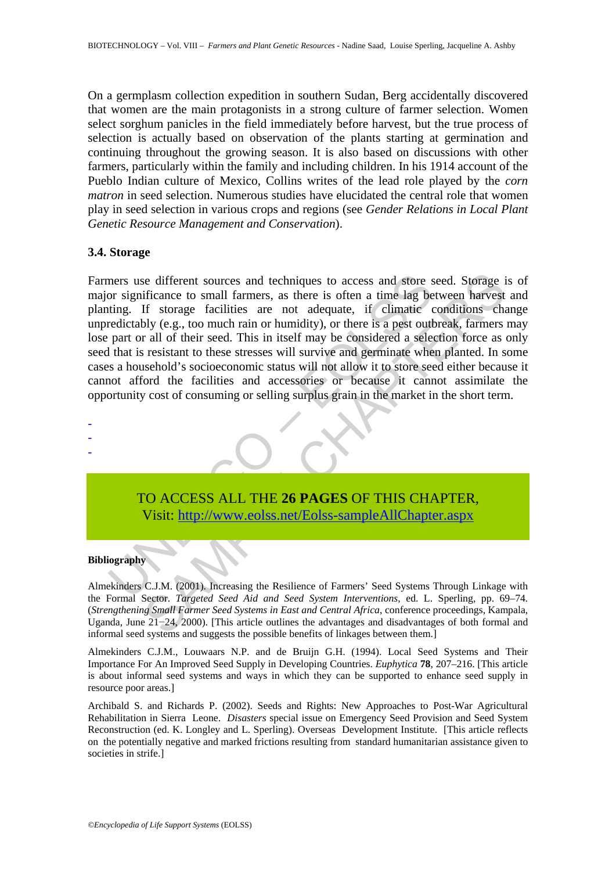On a germplasm collection expedition in southern Sudan, Berg accidentally discovered that women are the main protagonists in a strong culture of farmer selection. Women select sorghum panicles in the field immediately before harvest, but the true process of selection is actually based on observation of the plants starting at germination and continuing throughout the growing season. It is also based on discussions with other farmers, particularly within the family and including children. In his 1914 account of the Pueblo Indian culture of Mexico, Collins writes of the lead role played by the *corn matron* in seed selection. Numerous studies have elucidated the central role that women play in seed selection in various crops and regions (see *Gender Relations in Local Plant Genetic Resource Management and Conservation*).

#### **3.4. Storage**

mers use different sources and techniques to access and store s<br>or significance to small farmers, as there is often a time lag be<br>ting. If storage facilities are not adequate, if climatic redictably (e.g., too much rain or is different sources and techniques to access and store seed. Storage if<br>ticance to small farmers, as there is often a time lag between harvest<br>difference to small farmers, as there is often a time digenter conditions char Farmers use different sources and techniques to access and store seed. Storage is of major significance to small farmers, as there is often a time lag between harvest and planting. If storage facilities are not adequate, if climatic conditions change unpredictably (e.g., too much rain or humidity), or there is a pest outbreak, farmers may lose part or all of their seed. This in itself may be considered a selection force as only seed that is resistant to these stresses will survive and germinate when planted. In some cases a household's socioeconomic status will not allow it to store seed either because it cannot afford the facilities and accessories or because it cannot assimilate the opportunity cost of consuming or selling surplus grain in the market in the short term.



TO ACCESS ALL THE **26 PAGES** OF THIS CHAPTER, Visit: http://www.eolss.net/Eolss-sampleAllChapter.aspx

#### **Bibliography**

Almekinders C.J.M. (2001). Increasing the Resilience of Farmers' Seed Systems Through Linkage with the Formal Sector. *Targeted Seed Aid and Seed System Interventions,* ed. L. Sperling, pp. 69–74*.* (*Strengthening Small Farmer Seed Systems in East and Central Africa*, conference proceedings, Kampala, Uganda, June 21−24, 2000). [This article outlines the advantages and disadvantages of both formal and informal seed systems and suggests the possible benefits of linkages between them.]

Almekinders C.J.M., Louwaars N.P. and de Bruijn G.H. (1994). Local Seed Systems and Their Importance For An Improved Seed Supply in Developing Countries. *Euphytica* **78**, 207–216. [This article is about informal seed systems and ways in which they can be supported to enhance seed supply in resource poor areas.]

Archibald S. and Richards P. (2002). Seeds and Rights: New Approaches to Post-War Agricultural Rehabilitation in Sierra Leone. *Disasters* special issue on Emergency Seed Provision and Seed System Reconstruction (ed. K. Longley and L. Sperling). Overseas Development Institute. [This article reflects on the potentially negative and marked frictions resulting from standard humanitarian assistance given to societies in strife.]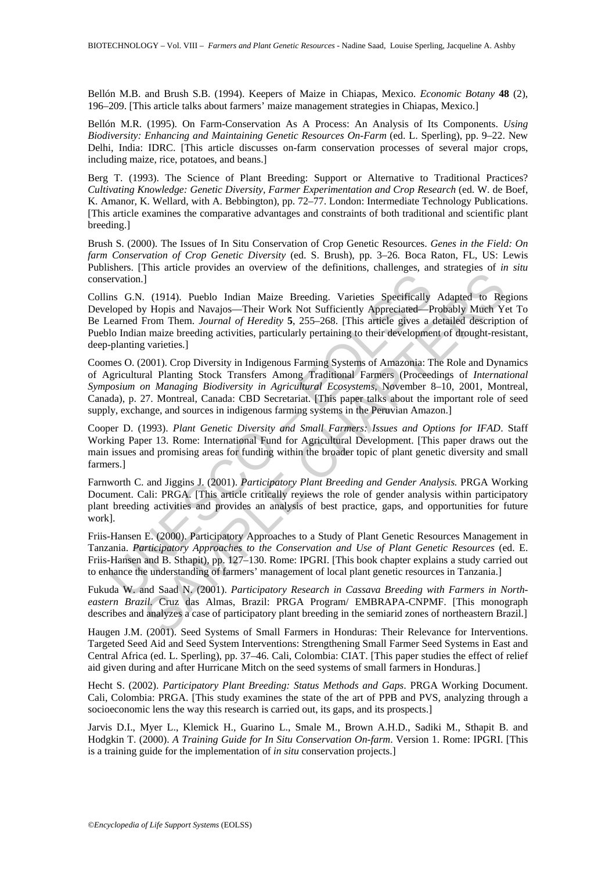Bellón M.B. and Brush S.B. (1994). Keepers of Maize in Chiapas, Mexico. *Economic Botany* **48** (2), 196–209. [This article talks about farmers' maize management strategies in Chiapas, Mexico.]

Bellón M.R. (1995). On Farm-Conservation As A Process: An Analysis of Its Components. *Using Biodiversity: Enhancing and Maintaining Genetic Resources On-Farm* (ed. L. Sperling), pp. 9–22. New Delhi, India: IDRC. [This article discusses on-farm conservation processes of several major crops, including maize, rice, potatoes, and beans.]

Berg T. (1993). The Science of Plant Breeding: Support or Alternative to Traditional Practices? *Cultivating Knowledge: Genetic Diversity, Farmer Experimentation and Crop Research* (ed. W. de Boef, K. Amanor, K. Wellard, with A. Bebbington), pp. 72–77. London: Intermediate Technology Publications. [This article examines the comparative advantages and constraints of both traditional and scientific plant breeding.]

Brush S. (2000). The Issues of In Situ Conservation of Crop Genetic Resources. *Genes in the Field: On farm Conservation of Crop Genetic Diversity* (ed. S. Brush), pp. 3–26*.* Boca Raton, FL, US: Lewis Publishers. [This article provides an overview of the definitions, challenges, and strategies of *in situ* conservation.]

ervation.]<br>
Ins G.N. (1914). Pueblo Indian Maize Breeding. Varieties Specifically<br>
eloped by Hopis and Navajos—Their Work Not Sufficiently Appreciated—P<br>
carned From Them. Journal of Heredity 5, 255–268. [This article give 1. (1914). Pueblo Indian Maize Energies Varieties Specifically Adapted to Rey Hopis and Navajos—Their Work Not Sufficiently Approciated—Probably Mater Yer. The primarize breeding activities, particularly pertaining to thei Collins G.N. (1914). Pueblo Indian Maize Breeding. Varieties Specifically Adapted to Regions Developed by Hopis and Navajos—Their Work Not Sufficiently Appreciated—Probably Much Yet To Be Learned From Them. *Journal of Heredity* **5**, 255–268. [This article gives a detailed description of Pueblo Indian maize breeding activities, particularly pertaining to their development of drought-resistant, deep-planting varieties.]

Coomes O. (2001). Crop Diversity in Indigenous Farming Systems of Amazonia: The Role and Dynamics of Agricultural Planting Stock Transfers Among Traditional Farmers (Proceedings of *International Symposium on Managing Biodiversity in Agricultural Ecosystems*, November 8–10, 2001, Montreal, Canada), p. 27. Montreal, Canada: CBD Secretariat. [This paper talks about the important role of seed supply, exchange, and sources in indigenous farming systems in the Peruvian Amazon.]

Cooper D. (1993). *Plant Genetic Diversity and Small Farmers: Issues and Options for IFAD*. Staff Working Paper 13. Rome: International Fund for Agricultural Development. [This paper draws out the main issues and promising areas for funding within the broader topic of plant genetic diversity and small farmers.]

Farnworth C. and Jiggins J. (2001). *Participatory Plant Breeding and Gender Analysis.* PRGA Working Document. Cali: PRGA. [This article critically reviews the role of gender analysis within participatory plant breeding activities and provides an analysis of best practice, gaps, and opportunities for future work].

Friis-Hansen E. (2000). Participatory Approaches to a Study of Plant Genetic Resources Management in Tanzania. *Participatory Approaches to the Conservation and Use of Plant Genetic Resources* (ed. E. Friis-Hansen and B. Sthapit), pp. 127–130. Rome: IPGRI. [This book chapter explains a study carried out to enhance the understanding of farmers' management of local plant genetic resources in Tanzania.]

Fukuda W. and Saad N. (2001). *Participatory Research in Cassava Breeding with Farmers in Northeastern Brazil*. Cruz das Almas, Brazil: PRGA Program/ EMBRAPA-CNPMF. [This monograph describes and analyzes a case of participatory plant breeding in the semiarid zones of northeastern Brazil.]

Haugen J.M. (2001). Seed Systems of Small Farmers in Honduras: Their Relevance for Interventions. Targeted Seed Aid and Seed System Interventions: Strengthening Small Farmer Seed Systems in East and Central Africa (ed. L. Sperling), pp. 37–46. Cali, Colombia: CIAT. [This paper studies the effect of relief aid given during and after Hurricane Mitch on the seed systems of small farmers in Honduras.]

Hecht S. (2002). *Participatory Plant Breeding: Status Methods and Gaps*. PRGA Working Document. Cali, Colombia: PRGA. [This study examines the state of the art of PPB and PVS, analyzing through a socioeconomic lens the way this research is carried out, its gaps, and its prospects.]

Jarvis D.I., Myer L., Klemick H., Guarino L., Smale M., Brown A.H.D., Sadiki M., Sthapit B. and Hodgkin T. (2000). *A Training Guide for In Situ Conservation On-farm*. Version 1. Rome: IPGRI. [This is a training guide for the implementation of *in situ* conservation projects.]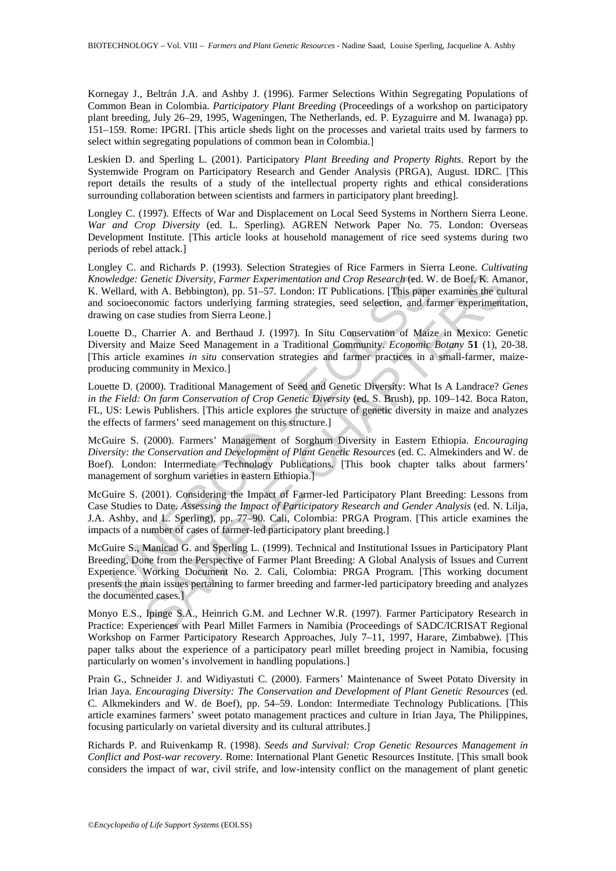Kornegay J., Beltrán J.A. and Ashby J. (1996). Farmer Selections Within Segregating Populations of Common Bean in Colombia. *Participatory Plant Breeding* (Proceedings of a workshop on participatory plant breeding, July 26–29, 1995, Wageningen, The Netherlands, ed. P. Eyzaguirre and M. Iwanaga) pp. 151–159*.* Rome: IPGRI. [This article sheds light on the processes and varietal traits used by farmers to select within segregating populations of common bean in Colombia.]

Leskien D. and Sperling L. (2001). Participatory *Plant Breeding and Property Rights*. Report by the Systemwide Program on Participatory Research and Gender Analysis (PRGA), August. IDRC. [This report details the results of a study of the intellectual property rights and ethical considerations surrounding collaboration between scientists and farmers in participatory plant breeding].

Longley C. (1997). Effects of War and Displacement on Local Seed Systems in Northern Sierra Leone. *War and Crop Diversity* (ed. L. Sperling)*.* AGREN Network Paper No. 75. London: Overseas Development Institute. [This article looks at household management of rice seed systems during two periods of rebel attack.]

Longley C. and Richards P. (1993). Selection Strategies of Rice Farmers in Sierra Leone. *Cultivating Knowledge: Genetic Diversity, Farmer Experimentation and Crop Research* (ed. W. de Boef, K. Amanor, K. Wellard, with A. Bebbington), pp. 51–57*.* London: IT Publications. [This paper examines the cultural and socioeconomic factors underlying farming strategies, seed selection, and farmer experimentation, drawing on case studies from Sierra Leone.]

Louette D., Charrier A. and Berthaud J. (1997). In Situ Conservation of Maize in Mexico: Genetic Diversity and Maize Seed Management in a Traditional Community. *Economic Botany* **51** (1), 20-38. [This article examines *in situ* conservation strategies and farmer practices in a small-farmer, maizeproducing community in Mexico.]

Louette D. (2000). Traditional Management of Seed and Genetic Diversity: What Is A Landrace? *Genes in the Field: On farm Conservation of Crop Genetic Diversity* (ed. S. Brush), pp. 109–142*.* Boca Raton, FL, US: Lewis Publishers. [This article explores the structure of genetic diversity in maize and analyzes the effects of farmers' seed management on this structure.]

McGuire S. (2000). Farmers' Management of Sorghum Diversity in Eastern Ethiopia. *Encouraging Diversity: the Conservation and Development of Plant Genetic Resources* (ed. C. Almekinders and W. de Boef)*.* London: Intermediate Technology Publications. [This book chapter talks about farmers' management of sorghum varieties in eastern Ethiopia.]

McGuire S. (2001). Considering the Impact of Farmer-led Participatory Plant Breeding: Lessons from Case Studies to Date. *Assessing the Impact of Participatory Research and Gender Analysis* (ed. N. Lilja, J.A. Ashby, and L. Sperling), pp. 77–90*.* Cali, Colombia: PRGA Program. [This article examines the impacts of a number of cases of farmer-led participatory plant breeding.]

*viedge: Genetic Diversity, Farmer Experimentation and Crop Research* (ed. Wellard, with A. Bebbington), pp. 51–57. London: IT Publications. [This paper<br>socioeconomic factors underlying farming strategies, seed selection, Genetic Diversity, Farmer Experimentation and Crop Research (ed. W. de Boef, K. Am<br>
with A. Bebbington), pp. 51-57. London: IT Publications. [This paper examines the euro-<br>
momic factors underlying farming strategies, seed McGuire S., Manicad G. and Sperling L. (1999). Technical and Institutional Issues in Participatory Plant Breeding, Done from the Perspective of Farmer Plant Breeding: A Global Analysis of Issues and Current Experience. Working Document No. 2. Cali, Colombia: PRGA Program. [This working document presents the main issues pertaining to farmer breeding and farmer-led participatory breeding and analyzes the documented cases.]

Monyo E.S., Ipinge S.A., Heinrich G.M. and Lechner W.R. (1997). Farmer Participatory Research in Practice: Experiences with Pearl Millet Farmers in Namibia (Proceedings of SADC/ICRISAT Regional Workshop on Farmer Participatory Research Approaches, July 7–11, 1997, Harare, Zimbabwe). [This paper talks about the experience of a participatory pearl millet breeding project in Namibia, focusing particularly on women's involvement in handling populations.]

Prain G., Schneider J. and Widiyastuti C. (2000). Farmers' Maintenance of Sweet Potato Diversity in Irian Jaya. *Encouraging Diversity: The Conservation and Development of Plant Genetic Resources* (ed. C. Alkmekinders and W. de Boef), pp. 54–59. London: Intermediate Technology Publications*.* [This article examines farmers' sweet potato management practices and culture in Irian Jaya, The Philippines, focusing particularly on varietal diversity and its cultural attributes.]

Richards P. and Ruivenkamp R. (1998). *Seeds and Survival: Crop Genetic Resources Management in Conflict and Post-war recovery.* Rome: International Plant Genetic Resources Institute. [This small book considers the impact of war, civil strife, and low-intensity conflict on the management of plant genetic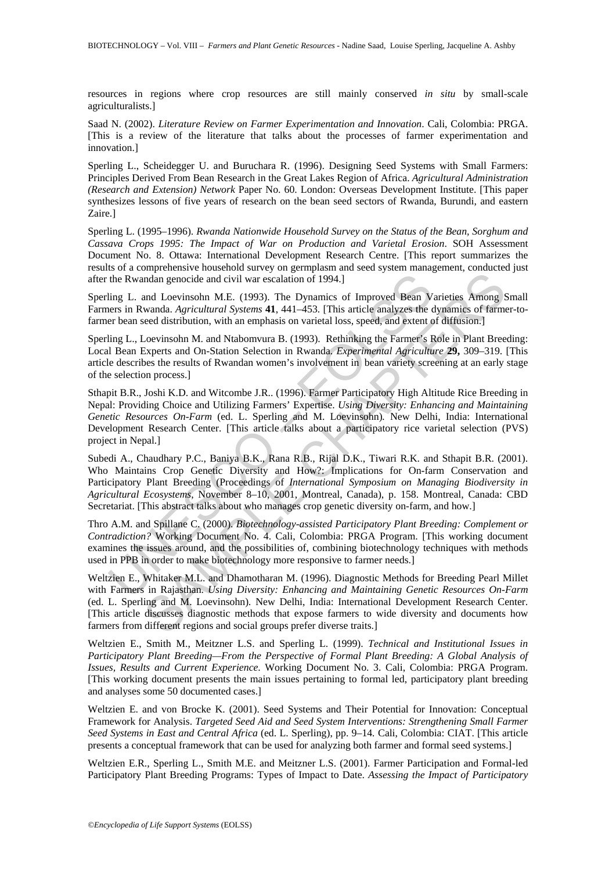resources in regions where crop resources are still mainly conserved *in situ* by small-scale agriculturalists.]

Saad N. (2002). *Literature Review on Farmer Experimentation and Innovation*. Cali, Colombia: PRGA. [This is a review of the literature that talks about the processes of farmer experimentation and innovation.]

Sperling L., Scheidegger U. and Buruchara R. (1996). Designing Seed Systems with Small Farmers: Principles Derived From Bean Research in the Great Lakes Region of Africa. *Agricultural Administration (Research and Extension) Network* Paper No. 60. London: Overseas Development Institute. [This paper synthesizes lessons of five years of research on the bean seed sectors of Rwanda, Burundi, and eastern Zaire.]

Sperling L. (1995–1996). *Rwanda Nationwide Household Survey on the Status of the Bean, Sorghum and Cassava Crops 1995: The Impact of War on Production and Varietal Erosion*. SOH Assessment Document No. 8. Ottawa: International Development Research Centre. [This report summarizes the results of a comprehensive household survey on germplasm and seed system management, conducted just after the Rwandan genocide and civil war escalation of 1994.]

Sperling L. and Loevinsohn M.E. (1993). The Dynamics of Improved Bean Varieties Among Small Farmers in Rwanda. *Agricultural Systems* **41**, 441–453. [This article analyzes the dynamics of farmer-tofarmer bean seed distribution, with an emphasis on varietal loss, speed, and extent of diffusion.]

Sperling L., Loevinsohn M. and Ntabomvura B. (1993). Rethinking the Farmer's Role in Plant Breeding: Local Bean Experts and On-Station Selection in Rwanda. *Experimental Agriculture* **29,** 309–319. [This article describes the results of Rwandan women's involvement in bean variety screening at an early stage of the selection process.]

the Rwandan genocide and civil war escalation of 1994.]<br>
ling L. and Loevinsohn M.E. (1993). The Dynamics of Improved Bean V<br>
ling L. and Loevinsohn M.E. (1993). The Dynamics of Improved Bean V<br>
ling L. Loevinsohn M.E. (19 Sthapit B.R., Joshi K.D. and Witcombe J.R.. (1996). Farmer Participatory High Altitude Rice Breeding in Nepal: Providing Choice and Utilizing Farmers' Expertise. *Using Diversity: Enhancing and Maintaining Genetic Resources On-Farm* (ed. L. Sperling and M. Loevinsohn)*.* New Delhi, India: International Development Research Center. [This article talks about a participatory rice varietal selection (PVS) project in Nepal.]

Subedi A., Chaudhary P.C., Baniya B.K., Rana R.B., Rijal D.K., Tiwari R.K. and Sthapit B.R. (2001). Who Maintains Crop Genetic Diversity and How?: Implications for On-farm Conservation and Participatory Plant Breeding (Proceedings of *International Symposium on Managing Biodiversity in Agricultural Ecosystems*, November 8–10, 2001, Montreal, Canada), p. 158. Montreal, Canada: CBD Secretariat. [This abstract talks about who manages crop genetic diversity on-farm, and how.]

Thro A.M. and Spillane C. (2000). *Biotechnology-assisted Participatory Plant Breeding: Complement or Contradiction?* Working Document No. 4. Cali, Colombia: PRGA Program. [This working document examines the issues around, and the possibilities of, combining biotechnology techniques with methods used in PPB in order to make biotechnology more responsive to farmer needs.]

mann and Loevinsohn M.E. (1993). The Dynamics of Improved Bean Varieties Among swanda. Agricultural Systems 41, 441-4351 [This article analyzes the dynamics of farms and Archivental Systems and Archiven and Archiven and Na Weltzien E., Whitaker M.L. and Dhamotharan M. (1996). Diagnostic Methods for Breeding Pearl Millet with Farmers in Rajasthan. *Using Diversity: Enhancing and Maintaining Genetic Resources On-Farm* (ed. L. Sperling and M. Loevinsohn)*.* New Delhi, India: International Development Research Center. [This article discusses diagnostic methods that expose farmers to wide diversity and documents how farmers from different regions and social groups prefer diverse traits.]

Weltzien E., Smith M., Meitzner L.S. and Sperling L. (1999). *Technical and Institutional Issues in Participatory Plant Breeding—From the Perspective of Formal Plant Breeding: A Global Analysis of Issues, Results and Current Experience*. Working Document No. 3. Cali, Colombia: PRGA Program. [This working document presents the main issues pertaining to formal led, participatory plant breeding and analyses some 50 documented cases.]

Weltzien E. and von Brocke K. (2001). Seed Systems and Their Potential for Innovation: Conceptual Framework for Analysis. *Targeted Seed Aid and Seed System Interventions: Strengthening Small Farmer Seed Systems in East and Central Africa* (ed. L. Sperling), pp. 9–14*.* Cali, Colombia: CIAT. [This article presents a conceptual framework that can be used for analyzing both farmer and formal seed systems.]

Weltzien E.R., Sperling L., Smith M.E. and Meitzner L.S. (2001). Farmer Participation and Formal-led Participatory Plant Breeding Programs: Types of Impact to Date. *Assessing the Impact of Participatory*